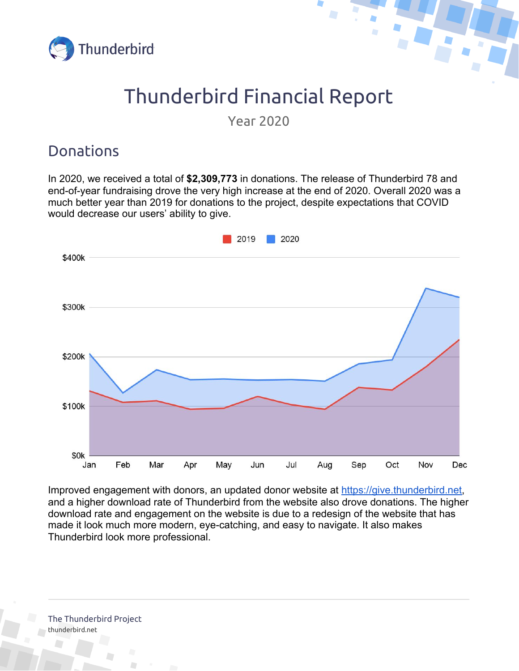



# Thunderbird Financial Report

Year 2020

### Donations

In 2020, we received a total of **\$2,309,773** in donations. The release of Thunderbird 78 and end-of-year fundraising drove the very high increase at the end of 2020. Overall 2020 was a much better year than 2019 for donations to the project, despite expectations that COVID would decrease our users' ability to give.



Improved engagement with donors, an updated donor website at [https://give.thunderbird.net](https://give.thunderbird.net/), and a higher download rate of Thunderbird from the website also drove donations. The higher download rate and engagement on the website is due to a redesign of the website that has made it look much more modern, eye-catching, and easy to navigate. It also makes Thunderbird look more professional.

The Thunderbird Project [thunderbird.net](https://www.thunderbird.net/)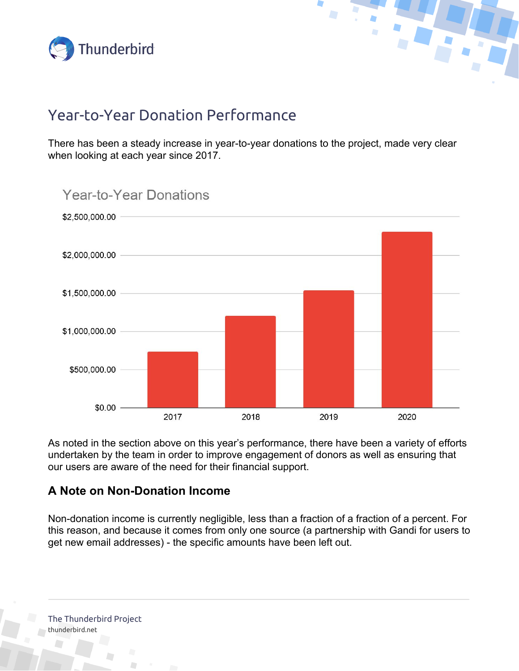



### Year-to-Year Donation Performance

There has been a steady increase in year-to-year donations to the project, made very clear when looking at each year since 2017.



As noted in the section above on this year's performance, there have been a variety of efforts undertaken by the team in order to improve engagement of donors as well as ensuring that our users are aware of the need for their financial support.

#### **A Note on Non-Donation Income**

Non-donation income is currently negligible, less than a fraction of a fraction of a percent. For this reason, and because it comes from only one source (a partnership with Gandi for users to get new email addresses) - the specific amounts have been left out.

The Thunderbird Project [thunderbird.net](https://www.thunderbird.net/)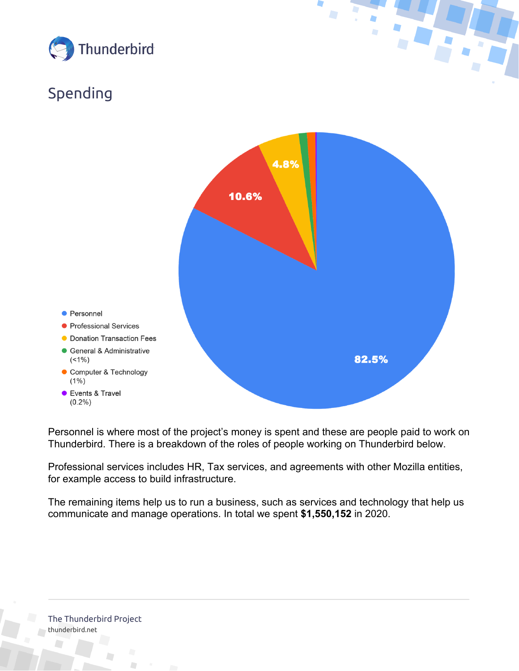

## Spending



Personnel is where most of the project's money is spent and these are people paid to work on Thunderbird. There is a breakdown of the roles of people working on Thunderbird below.

Professional services includes HR, Tax services, and agreements with other Mozilla entities, for example access to build infrastructure.

The remaining items help us to run a business, such as services and technology that help us communicate and manage operations. In total we spent **\$1,550,152** in 2020.

The Thunderbird Project [thunderbird.net](https://www.thunderbird.net/)

D